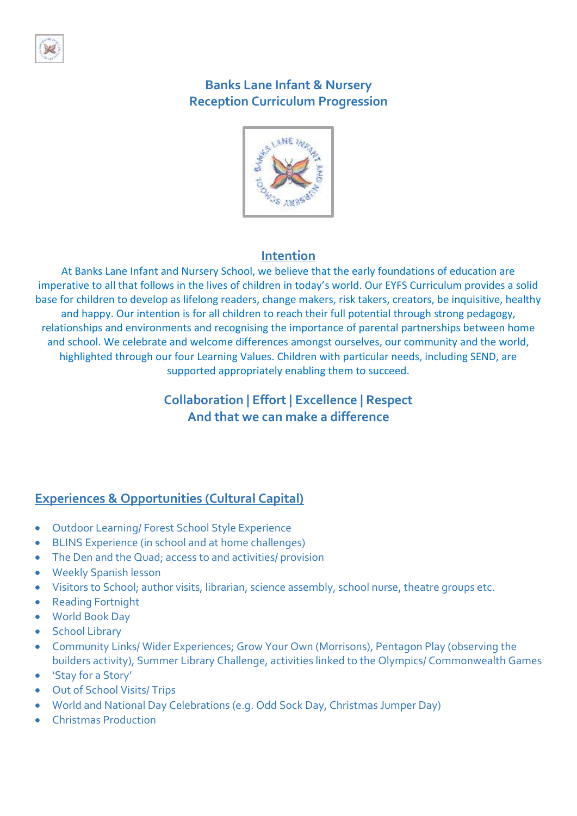

# **Banks Lane Infant & Nursery Reception Curriculum Progression**



# **Intention**

At Banks Lane Infant and Nursery School, we believe that the early foundations of education are imperative to all that follows in the lives of children in today's world. Our EYFS Curriculum provides a solid base for children to develop as lifelong readers, change makers, risk takers, creators, be inquisitive, healthy and happy. Our intention is for all children to reach their full potential through strong pedagogy, relationships and environments and recognising the importance of parental partnerships between home and school. We celebrate and welcome differences amongst ourselves, our community and the world, highlighted through our four Learning Values. Children with particular needs, including SEND, are supported appropriately enabling them to succeed.

# **Collaboration | Effort | Excellence | Respect And that we can make a difference**

# **Experiences & Opportunities (Cultural Capital)**

- Outdoor Learning/ Forest School Style Experience
- BLINS Experience (in school and at home challenges)
- The Den and the Quad; access to and activities/ provision
- Weekly Spanish lesson
- Visitors to School; author visits, librarian, science assembly, school nurse, theatre groups etc.
- Reading Fortnight
- World Book Day
- School Library
- Community Links/ Wider Experiences; Grow Your Own (Morrisons), Pentagon Play (observing the builders activity), Summer Library Challenge, activities linked to the Olympics/ Commonwealth Games
- 'Stay for a Story'
- Out of School Visits/ Trips
- World and National Day Celebrations (e.g. Odd Sock Day, Christmas Jumper Day)
- Christmas Production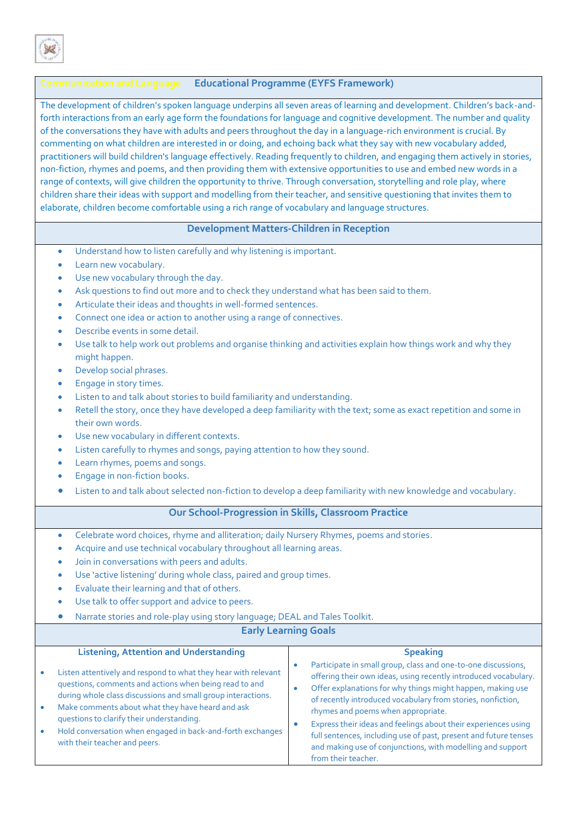

# **Communication and Language Educational Programme (EYFS Framework)**

The development of children's spoken language underpins all seven areas of learning and development. Children's back-andforth interactions from an early age form the foundations for language and cognitive development. The number and quality of the conversations they have with adults and peers throughout the day in a language-rich environment is crucial. By commenting on what children are interested in or doing, and echoing back what they say with new vocabulary added, practitioners will build children's language effectively. Reading frequently to children, and engaging them actively in stories, non-fiction, rhymes and poems, and then providing them with extensive opportunities to use and embed new words in a range of contexts, will give children the opportunity to thrive. Through conversation, storytelling and role play, where children share their ideas with support and modelling from their teacher, and sensitive questioning that invites them to elaborate, children become comfortable using a rich range of vocabulary and language structures.

# **Development Matters-Children in Reception**

- Understand how to listen carefully and why listening is important.
- Learn new vocabulary.
- Use new vocabulary through the day.
- Ask questions to find out more and to check they understand what has been said to them.
- Articulate their ideas and thoughts in well-formed sentences.
- Connect one idea or action to another using a range of connectives.
- Describe events in some detail.
- Use talk to help work out problems and organise thinking and activities explain how things work and why they might happen.
- Develop social phrases.
- Engage in story times.
- Listen to and talk about stories to build familiarity and understanding.
- Retell the story, once they have developed a deep familiarity with the text; some as exact repetition and some in their own words.
- Use new vocabulary in different contexts.
- Listen carefully to rhymes and songs, paying attention to how they sound.
- Learn rhymes, poems and songs.
- Engage in non-fiction books.
- Listen to and talk about selected non-fiction to develop a deep familiarity with new knowledge and vocabulary.

# **Our School-Progression in Skills, Classroom Practice**

- Celebrate word choices, rhyme and alliteration; daily Nursery Rhymes, poems and stories.
- Acquire and use technical vocabulary throughout all learning areas.
- Join in conversations with peers and adults.
- Use 'active listening' during whole class, paired and group times.
- Evaluate their learning and that of others.
- Use talk to offer support and advice to peers.
- Narrate stories and role-play using story language; DEAL and Tales Toolkit.

### **Early Learning Goals**

| <b>Listening, Attention and Understanding</b>                                                                                                                                                                                                                                                                                                                                                         | <b>Speaking</b>                                                                                                                                                                                                                                                                                                                                                                                                                                                                                                                |
|-------------------------------------------------------------------------------------------------------------------------------------------------------------------------------------------------------------------------------------------------------------------------------------------------------------------------------------------------------------------------------------------------------|--------------------------------------------------------------------------------------------------------------------------------------------------------------------------------------------------------------------------------------------------------------------------------------------------------------------------------------------------------------------------------------------------------------------------------------------------------------------------------------------------------------------------------|
| Listen attentively and respond to what they hear with relevant<br>questions, comments and actions when being read to and<br>during whole class discussions and small group interactions.<br>Make comments about what they have heard and ask<br>$\bullet$<br>questions to clarify their understanding.<br>Hold conversation when engaged in back-and-forth exchanges<br>with their teacher and peers. | Participate in small group, class and one-to-one discussions,<br>offering their own ideas, using recently introduced vocabulary.<br>Offer explanations for why things might happen, making use<br>of recently introduced vocabulary from stories, nonfiction,<br>rhymes and poems when appropriate.<br>Express their ideas and feelings about their experiences using<br>full sentences, including use of past, present and future tenses<br>and making use of conjunctions, with modelling and support<br>from their teacher. |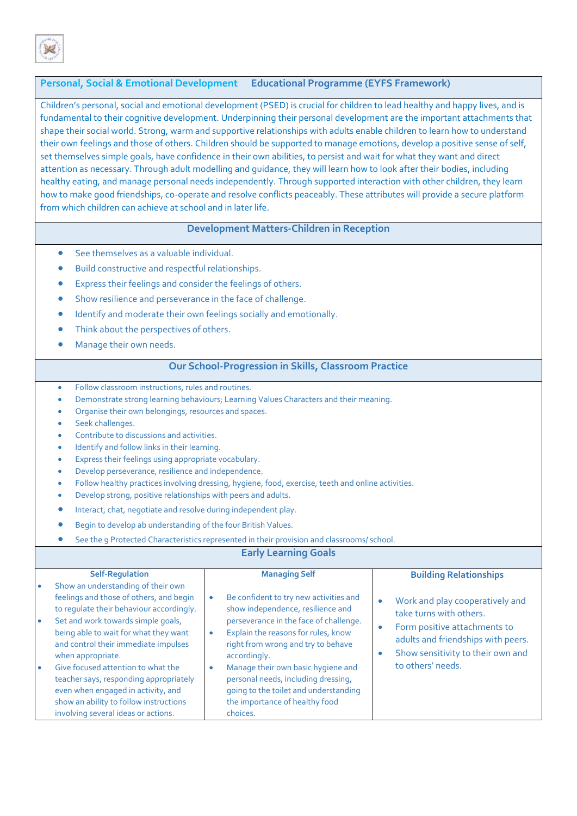

# **Personal, Social & Emotional Development Educational Programme (EYFS Framework)**

Children's personal, social and emotional development (PSED) is crucial for children to lead healthy and happy lives, and is fundamental to their cognitive development. Underpinning their personal development are the important attachments that shape their social world. Strong, warm and supportive relationships with adults enable children to learn how to understand their own feelings and those of others. Children should be supported to manage emotions, develop a positive sense of self, set themselves simple goals, have confidence in their own abilities, to persist and wait for what they want and direct attention as necessary. Through adult modelling and guidance, they will learn how to look after their bodies, including healthy eating, and manage personal needs independently. Through supported interaction with other children, they learn how to make good friendships, co-operate and resolve conflicts peaceably. These attributes will provide a secure platform from which children can achieve at school and in later life.

# **Development Matters-Children in Reception**

- See themselves as a valuable individual.
- Build constructive and respectful relationships.
- Express their feelings and consider the feelings of others.
- Show resilience and perseverance in the face of challenge.
- Identify and moderate their own feelings socially and emotionally.
- Think about the perspectives of others.
- **•** Manage their own needs.

## **Our School-Progression in Skills, Classroom Practice**

- Follow classroom instructions, rules and routines.
- Demonstrate strong learning behaviours; Learning Values Characters and their meaning.
- Organise their own belongings, resources and spaces.
- Seek challenges.
- Contribute to discussions and activities.
- Identify and follow links in their learning.
- Express their feelings using appropriate vocabulary.
- Develop perseverance, resilience and independence.
- Follow healthy practices involving dressing, hygiene, food, exercise, teeth and online activities.
- Develop strong, positive relationships with peers and adults.
- **•** Interact, chat, negotiate and resolve during independent play.
- **•** Begin to develop ab understanding of the four British Values.
- See the 9 Protected Characteristics represented in their provision and classrooms/ school.

# **Early Learning Goals**

| <b>Self-Regulation</b>                                                                                                                                                                                                                                                                                                                                                                                                                                                                                 |                             | <b>Managing Self</b>                                                                                                                                                                                                                                                                                                                                                                   | <b>Building Relationships</b>                                                                                                                                                                                     |
|--------------------------------------------------------------------------------------------------------------------------------------------------------------------------------------------------------------------------------------------------------------------------------------------------------------------------------------------------------------------------------------------------------------------------------------------------------------------------------------------------------|-----------------------------|----------------------------------------------------------------------------------------------------------------------------------------------------------------------------------------------------------------------------------------------------------------------------------------------------------------------------------------------------------------------------------------|-------------------------------------------------------------------------------------------------------------------------------------------------------------------------------------------------------------------|
| Show an understanding of their own<br>$\bullet$<br>feelings and those of others, and begin<br>to regulate their behaviour accordingly.<br>Set and work towards simple goals,<br>١o<br>being able to wait for what they want<br>and control their immediate impulses<br>when appropriate.<br>Give focused attention to what the<br>∣ ●<br>teacher says, responding appropriately<br>even when engaged in activity, and<br>show an ability to follow instructions<br>involving several ideas or actions. | ۰<br>$\bullet$<br>$\bullet$ | Be confident to try new activities and<br>show independence, resilience and<br>perseverance in the face of challenge.<br>Explain the reasons for rules, know<br>right from wrong and try to behave<br>accordingly.<br>Manage their own basic hygiene and<br>personal needs, including dressing,<br>going to the toilet and understanding<br>the importance of healthy food<br>choices. | Work and play cooperatively and<br>$\bullet$<br>take turns with others.<br>Form positive attachments to<br>۰<br>adults and friendships with peers.<br>Show sensitivity to their own and<br>۰<br>to others' needs. |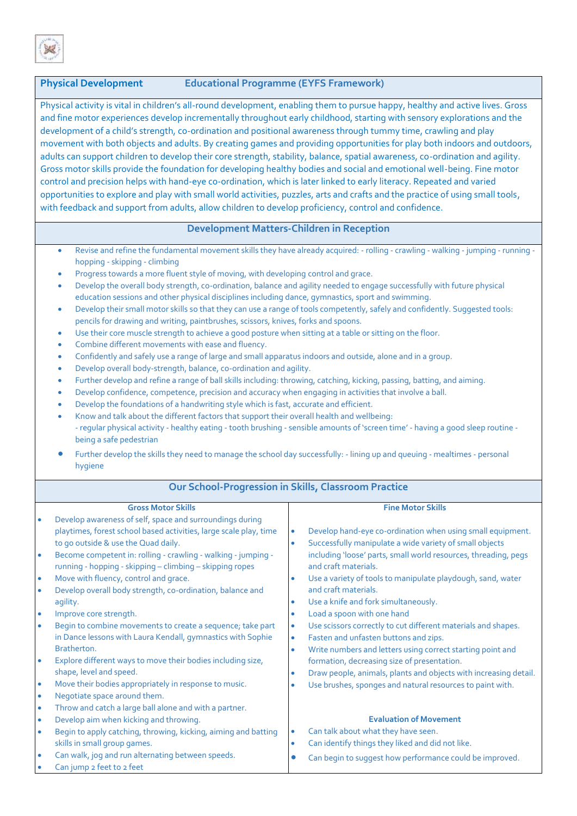

# **Physical Development Educational Programme (EYFS Framework)**

Physical activity is vital in children's all-round development, enabling them to pursue happy, healthy and active lives. Gross and fine motor experiences develop incrementally throughout early childhood, starting with sensory explorations and the development of a child's strength, co-ordination and positional awareness through tummy time, crawling and play movement with both objects and adults. By creating games and providing opportunities for play both indoors and outdoors, adults can support children to develop their core strength, stability, balance, spatial awareness, co-ordination and agility. Gross motor skills provide the foundation for developing healthy bodies and social and emotional well-being. Fine motor control and precision helps with hand-eye co-ordination, which is later linked to early literacy. Repeated and varied opportunities to explore and play with small world activities, puzzles, arts and crafts and the practice of using small tools, with feedback and support from adults, allow children to develop proficiency, control and confidence.

# **Development Matters-Children in Reception**

- Revise and refine the fundamental movement skills they have already acquired: rolling crawling walking jumping running hopping - skipping - climbing
- Progress towards a more fluent style of moving, with developing control and grace.
- Develop the overall body strength, co-ordination, balance and agility needed to engage successfully with future physical education sessions and other physical disciplines including dance, gymnastics, sport and swimming.
- Develop their small motor skills so that they can use a range of tools competently, safely and confidently. Suggested tools: pencils for drawing and writing, paintbrushes, scissors, knives, forks and spoons.
- Use their core muscle strength to achieve a good posture when sitting at a table or sitting on the floor.
- Combine different movements with ease and fluency.
- Confidently and safely use a range of large and small apparatus indoors and outside, alone and in a group.
- Develop overall body-strength, balance, co-ordination and agility.
- Further develop and refine a range of ball skills including: throwing, catching, kicking, passing, batting, and aiming.
- Develop confidence, competence, precision and accuracy when engaging in activities that involve a ball.
- Develop the foundations of a handwriting style which is fast, accurate and efficient.
- Know and talk about the different factors that support their overall health and wellbeing: - regular physical activity - healthy eating - tooth brushing - sensible amounts of 'screen time' - having a good sleep routine being a safe pedestrian
- Further develop the skills they need to manage the school day successfully: lining up and queuing mealtimes personal hygiene

### **Our School-Progression in Skills, Classroom Practice**

|           | <b>Gross Motor Skills</b>                                         |           | <b>Fine Motor Skills</b>                                         |
|-----------|-------------------------------------------------------------------|-----------|------------------------------------------------------------------|
| $\bullet$ | Develop awareness of self, space and surroundings during          |           |                                                                  |
|           | playtimes, forest school based activities, large scale play, time | $\bullet$ | Develop hand-eye co-ordination when using small equipment.       |
|           | to go outside & use the Quad daily.                               | $\bullet$ | Successfully manipulate a wide variety of small objects          |
| $\bullet$ | Become competent in: rolling - crawling - walking - jumping -     |           | including 'loose' parts, small world resources, threading, pegs  |
|           | running - hopping - skipping - climbing - skipping ropes          |           | and craft materials.                                             |
| $\bullet$ | Move with fluency, control and grace.                             | ۰         | Use a variety of tools to manipulate playdough, sand, water      |
| $\bullet$ | Develop overall body strength, co-ordination, balance and         |           | and craft materials.                                             |
|           | agility.                                                          | $\bullet$ | Use a knife and fork simultaneously.                             |
| $\bullet$ | Improve core strength.                                            | $\bullet$ | Load a spoon with one hand                                       |
| $\bullet$ | Begin to combine movements to create a sequence; take part        | $\bullet$ | Use scissors correctly to cut different materials and shapes.    |
|           | in Dance lessons with Laura Kendall, gymnastics with Sophie       | $\bullet$ | Fasten and unfasten buttons and zips.                            |
|           | Bratherton.                                                       | ۰         | Write numbers and letters using correct starting point and       |
| $\bullet$ | Explore different ways to move their bodies including size,       |           | formation, decreasing size of presentation.                      |
|           | shape, level and speed.                                           | $\bullet$ | Draw people, animals, plants and objects with increasing detail. |
| $\bullet$ | Move their bodies appropriately in response to music.             | $\bullet$ | Use brushes, sponges and natural resources to paint with.        |
| $\bullet$ | Negotiate space around them.                                      |           |                                                                  |
| $\bullet$ | Throw and catch a large ball alone and with a partner.            |           |                                                                  |
| $\bullet$ | Develop aim when kicking and throwing.                            |           | <b>Evaluation of Movement</b>                                    |
| $\bullet$ | Begin to apply catching, throwing, kicking, aiming and batting    | $\bullet$ | Can talk about what they have seen.                              |
|           | skills in small group games.                                      | $\bullet$ | Can identify things they liked and did not like.                 |
| $\bullet$ | Can walk, jog and run alternating between speeds.                 | $\bullet$ | Can begin to suggest how performance could be improved.          |
| $\bullet$ | Can jump 2 feet to 2 feet                                         |           |                                                                  |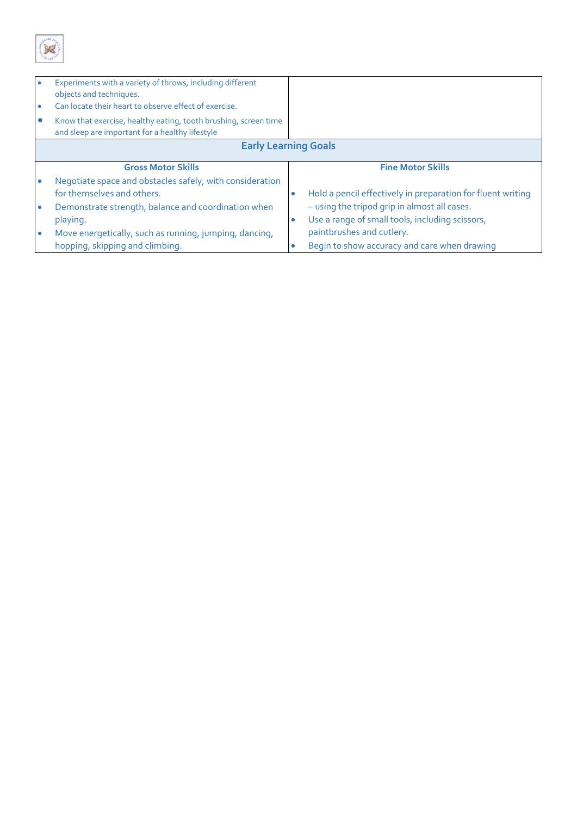

| $\bullet$                                                                                                                       | Experiments with a variety of throws, including different<br>objects and techniques.<br>Can locate their heart to observe effect of exercise. |           |                                                             |
|---------------------------------------------------------------------------------------------------------------------------------|-----------------------------------------------------------------------------------------------------------------------------------------------|-----------|-------------------------------------------------------------|
| Know that exercise, healthy eating, tooth brushing, screen time<br>$\bullet$<br>and sleep are important for a healthy lifestyle |                                                                                                                                               |           |                                                             |
|                                                                                                                                 | <b>Early Learning Goals</b>                                                                                                                   |           |                                                             |
|                                                                                                                                 | <b>Gross Motor Skills</b>                                                                                                                     |           | <b>Fine Motor Skills</b>                                    |
| $\bullet$                                                                                                                       | Negotiate space and obstacles safely, with consideration                                                                                      |           |                                                             |
|                                                                                                                                 | for themselves and others.                                                                                                                    | $\bullet$ | Hold a pencil effectively in preparation for fluent writing |
| $\bullet$                                                                                                                       | Demonstrate strength, balance and coordination when                                                                                           |           | - using the tripod grip in almost all cases.                |
|                                                                                                                                 | playing.                                                                                                                                      | $\bullet$ | Use a range of small tools, including scissors,             |
| $\bullet$                                                                                                                       | Move energetically, such as running, jumping, dancing,                                                                                        |           | paintbrushes and cutlery.                                   |
|                                                                                                                                 | hopping, skipping and climbing.                                                                                                               |           | Begin to show accuracy and care when drawing                |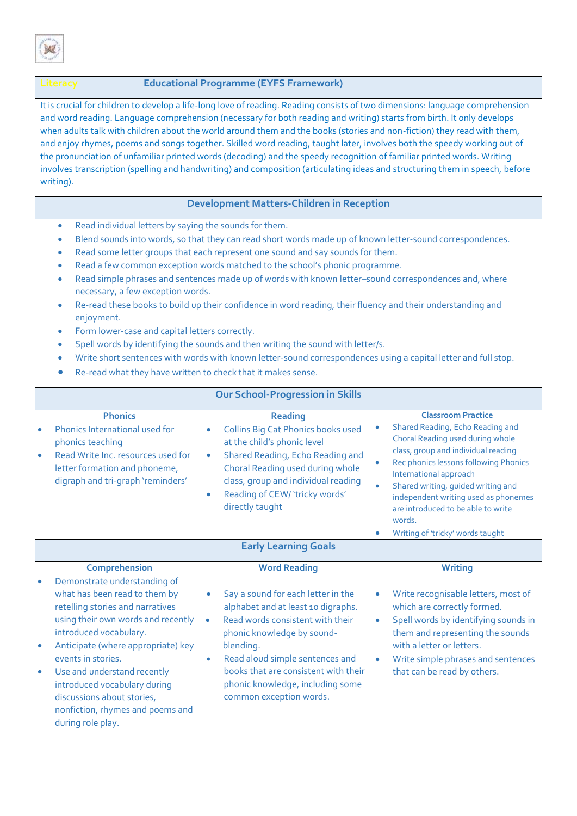

# **Literacy Educational Programme (EYFS Framework)**

It is crucial for children to develop a life-long love of reading. Reading consists of two dimensions: language comprehension and word reading. Language comprehension (necessary for both reading and writing) starts from birth. It only develops when adults talk with children about the world around them and the books (stories and non-fiction) they read with them, and enjoy rhymes, poems and songs together. Skilled word reading, taught later, involves both the speedy working out of the pronunciation of unfamiliar printed words (decoding) and the speedy recognition of familiar printed words. Writing involves transcription (spelling and handwriting) and composition (articulating ideas and structuring them in speech, before writing).

# **Development Matters-Children in Reception**

- Read individual letters by saying the sounds for them.
- Blend sounds into words, so that they can read short words made up of known letter-sound correspondences.
- Read some letter groups that each represent one sound and say sounds for them.
- Read a few common exception words matched to the school's phonic programme.
- Read simple phrases and sentences made up of words with known letter–sound correspondences and, where necessary, a few exception words.
- Re-read these books to build up their confidence in word reading, their fluency and their understanding and enjoyment.
- Form lower-case and capital letters correctly.
- Spell words by identifying the sounds and then writing the sound with letter/s.
- Write short sentences with words with known letter-sound correspondences using a capital letter and full stop.
- Re-read what they have written to check that it makes sense.

| $\bullet$<br>$\bullet$ | <b>Phonics</b><br>Phonics International used for<br>phonics teaching<br>Read Write Inc. resources used for<br>letter formation and phoneme,<br>digraph and tri-graph 'reminders' | <b>Reading</b><br>Collins Big Cat Phonics books used<br>$\bullet$<br>at the child's phonic level<br>Shared Reading, Echo Reading and<br>$\bullet$<br>Choral Reading used during whole<br>class, group and individual reading<br>Reading of CEW/ 'tricky words'<br>$\bullet$<br>directly taught | $\bullet$<br>$\bullet$<br>$\bullet$ | <b>Classroom Practice</b><br>Shared Reading, Echo Reading and<br>Choral Reading used during whole<br>class, group and individual reading<br>Rec phonics lessons following Phonics<br>International approach<br>Shared writing, guided writing and<br>independent writing used as phonemes<br>are introduced to be able to write<br>words.<br>Writing of 'tricky' words taught |
|------------------------|----------------------------------------------------------------------------------------------------------------------------------------------------------------------------------|------------------------------------------------------------------------------------------------------------------------------------------------------------------------------------------------------------------------------------------------------------------------------------------------|-------------------------------------|-------------------------------------------------------------------------------------------------------------------------------------------------------------------------------------------------------------------------------------------------------------------------------------------------------------------------------------------------------------------------------|
|                        |                                                                                                                                                                                  | <b>Early Learning Goals</b>                                                                                                                                                                                                                                                                    |                                     |                                                                                                                                                                                                                                                                                                                                                                               |
|                        | Comprehension                                                                                                                                                                    | <b>Word Reading</b>                                                                                                                                                                                                                                                                            |                                     |                                                                                                                                                                                                                                                                                                                                                                               |
| $\bullet$              | Demonstrate understanding of<br>what has been read to them by<br>retelling stories and narratives                                                                                | Say a sound for each letter in the<br>alphabet and at least 10 digraphs.                                                                                                                                                                                                                       | $\bullet$                           | <b>Writing</b><br>Write recognisable letters, most of<br>which are correctly formed.                                                                                                                                                                                                                                                                                          |
| $\bullet$<br>$\bullet$ | using their own words and recently<br>introduced vocabulary.<br>Anticipate (where appropriate) key<br>events in stories.<br>Use and understand recently                          | Read words consistent with their<br>$\bullet$<br>phonic knowledge by sound-<br>blending.<br>Read aloud simple sentences and<br>books that are consistent with their                                                                                                                            | $\bullet$<br>$\bullet$              | Spell words by identifying sounds in<br>them and representing the sounds<br>with a letter or letters.<br>Write simple phrases and sentences<br>that can be read by others.                                                                                                                                                                                                    |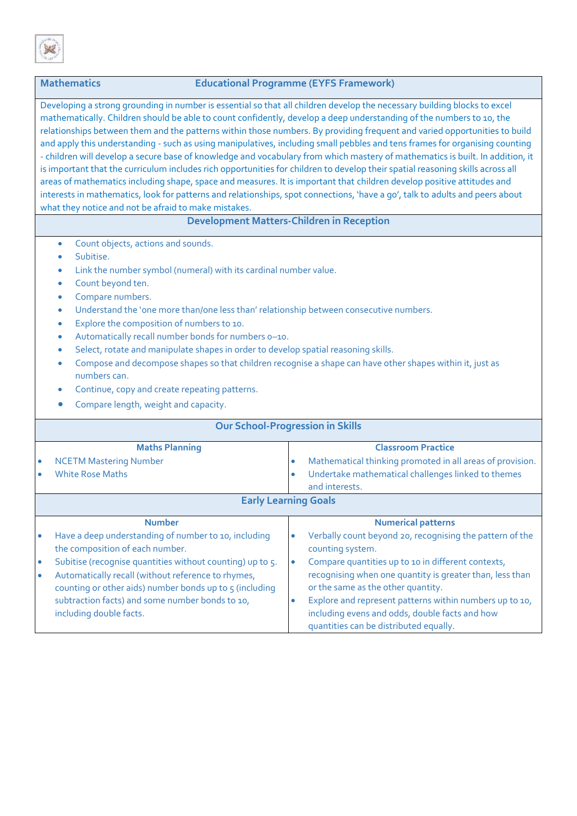

# **Mathematics Educational Programme (EYFS Framework)**

Developing a strong grounding in number is essential so that all children develop the necessary building blocks to excel mathematically. Children should be able to count confidently, develop a deep understanding of the numbers to 10, the relationships between them and the patterns within those numbers. By providing frequent and varied opportunities to build and apply this understanding - such as using manipulatives, including small pebbles and tens frames for organising counting - children will develop a secure base of knowledge and vocabulary from which mastery of mathematics is built. In addition, it is important that the curriculum includes rich opportunities for children to develop their spatial reasoning skills across all areas of mathematics including shape, space and measures. It is important that children develop positive attitudes and interests in mathematics, look for patterns and relationships, spot connections, 'have a go', talk to adults and peers about what they notice and not be afraid to make mistakes.

# **Development Matters-Children in Reception**

- Count objects, actions and sounds.
- **•** Subitise.
- Link the number symbol (numeral) with its cardinal number value.
- Count beyond ten.
- Compare numbers.
- Understand the 'one more than/one less than' relationship between consecutive numbers.
- Explore the composition of numbers to 10.
- Automatically recall number bonds for numbers 0–10.
- Select, rotate and manipulate shapes in order to develop spatial reasoning skills.
- Compose and decompose shapes so that children recognise a shape can have other shapes within it, just as numbers can.
- Continue, copy and create repeating patterns.
- **•** Compare length, weight and capacity.

|           | <b>Our School-Progression in Skills</b>                                                                       |                             |                                                                                                                                                     |  |  |  |  |
|-----------|---------------------------------------------------------------------------------------------------------------|-----------------------------|-----------------------------------------------------------------------------------------------------------------------------------------------------|--|--|--|--|
|           | <b>Maths Planning</b>                                                                                         |                             | <b>Classroom Practice</b>                                                                                                                           |  |  |  |  |
| $\bullet$ | <b>NCETM Mastering Number</b>                                                                                 | $\bullet$                   | Mathematical thinking promoted in all areas of provision.                                                                                           |  |  |  |  |
| $\bullet$ | <b>White Rose Maths</b>                                                                                       | ۰                           | Undertake mathematical challenges linked to themes                                                                                                  |  |  |  |  |
|           |                                                                                                               |                             | and interests.                                                                                                                                      |  |  |  |  |
|           |                                                                                                               | <b>Early Learning Goals</b> |                                                                                                                                                     |  |  |  |  |
|           | <b>Number</b>                                                                                                 | <b>Numerical patterns</b>   |                                                                                                                                                     |  |  |  |  |
| $\bullet$ | Have a deep understanding of number to 10, including                                                          | ۰                           | Verbally count beyond 20, recognising the pattern of the                                                                                            |  |  |  |  |
|           | the composition of each number.                                                                               |                             | counting system.                                                                                                                                    |  |  |  |  |
| $\bullet$ | Subitise (recognise quantities without counting) up to 5.                                                     | $\bullet$                   | Compare quantities up to 10 in different contexts,                                                                                                  |  |  |  |  |
| $\bullet$ | Automatically recall (without reference to rhymes,<br>counting or other aids) number bonds up to 5 (including |                             | recognising when one quantity is greater than, less than<br>or the same as the other quantity.                                                      |  |  |  |  |
|           | subtraction facts) and some number bonds to 10,<br>including double facts.                                    | ۰                           | Explore and represent patterns within numbers up to 10,<br>including evens and odds, double facts and how<br>quantities can be distributed equally. |  |  |  |  |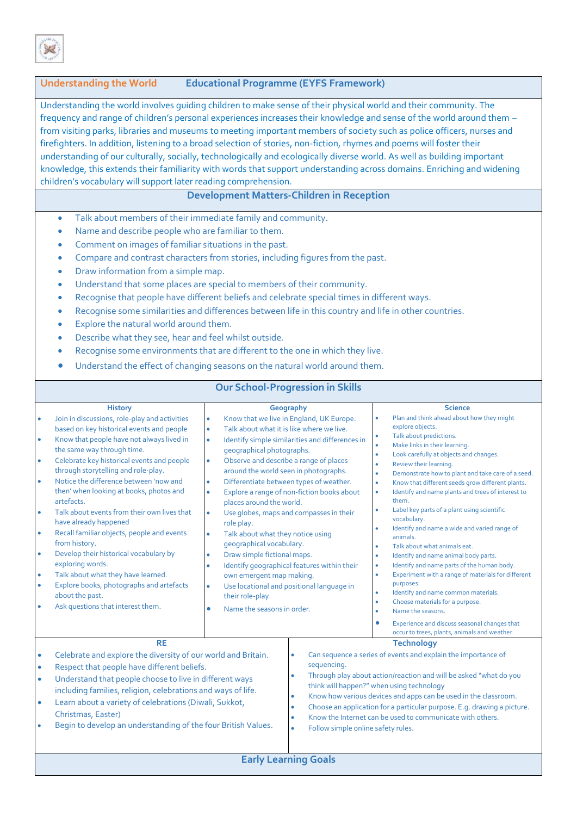

# **Understanding the World Educational Programme (EYFS Framework)**

Understanding the world involves guiding children to make sense of their physical world and their community. The frequency and range of children's personal experiences increases their knowledge and sense of the world around them – from visiting parks, libraries and museums to meeting important members of society such as police officers, nurses and firefighters. In addition, listening to a broad selection of stories, non-fiction, rhymes and poems will foster their understanding of our culturally, socially, technologically and ecologically diverse world. As well as building important knowledge, this extends their familiarity with words that support understanding across domains. Enriching and widening children's vocabulary will support later reading comprehension.

## **Development Matters-Children in Reception**

- Talk about members of their immediate family and community.
- Name and describe people who are familiar to them.
- Comment on images of familiar situations in the past.
- Compare and contrast characters from stories, including figures from the past.
- Draw information from a simple map.
- Understand that some places are special to members of their community.
- Recognise that people have different beliefs and celebrate special times in different ways.
- Recognise some similarities and differences between life in this country and life in other countries.
- Explore the natural world around them.
- Describe what they see, hear and feel whilst outside.
- Recognise some environments that are different to the one in which they live.
- Understand the effect of changing seasons on the natural world around them.

# **Our School-Progression in Skills**

| <b>History</b><br>Join in discussions, role-play and activities<br>$\bullet$<br>$\bullet$<br>based on key historical events and people<br>$\bullet$<br>Know that people have not always lived in<br>$\bullet$<br>$\bullet$<br>the same way through time.<br>Celebrate key historical events and people<br>$\bullet$<br>$\bullet$<br>through storytelling and role-play.<br>Notice the difference between 'now and<br>$\bullet$<br>$\bullet$<br>then' when looking at books, photos and<br>$\bullet$<br>artefacts.<br>Talk about events from their own lives that<br>$\bullet$<br>$\bullet$<br>have already happened<br>Recall familiar objects, people and events<br>$\bullet$ |                                                                                                                                                                                                                                                                                                                                                                                                                                                                                                                                                                                                                         |                                                                                                                                                                                                                                                                                                                                                                                                                                                                                                                                                                                                                                                                                                                                                                                                                                                                                  |
|--------------------------------------------------------------------------------------------------------------------------------------------------------------------------------------------------------------------------------------------------------------------------------------------------------------------------------------------------------------------------------------------------------------------------------------------------------------------------------------------------------------------------------------------------------------------------------------------------------------------------------------------------------------------------------|-------------------------------------------------------------------------------------------------------------------------------------------------------------------------------------------------------------------------------------------------------------------------------------------------------------------------------------------------------------------------------------------------------------------------------------------------------------------------------------------------------------------------------------------------------------------------------------------------------------------------|----------------------------------------------------------------------------------------------------------------------------------------------------------------------------------------------------------------------------------------------------------------------------------------------------------------------------------------------------------------------------------------------------------------------------------------------------------------------------------------------------------------------------------------------------------------------------------------------------------------------------------------------------------------------------------------------------------------------------------------------------------------------------------------------------------------------------------------------------------------------------------|
|                                                                                                                                                                                                                                                                                                                                                                                                                                                                                                                                                                                                                                                                                | Geography<br>Know that we live in England, UK Europe.<br>Talk about what it is like where we live.                                                                                                                                                                                                                                                                                                                                                                                                                                                                                                                      | <b>Science</b><br>Plan and think ahead about how they might<br>٠<br>explore objects.                                                                                                                                                                                                                                                                                                                                                                                                                                                                                                                                                                                                                                                                                                                                                                                             |
| $\bullet$<br>from history.<br>Develop their historical vocabulary by<br>$\bullet$<br>۰<br>exploring words.<br>$\bullet$<br>Talk about what they have learned.<br>$\bullet$<br>Explore books, photographs and artefacts<br>$\bullet$<br>$\bullet$<br>about the past.<br>Ask questions that interest them.<br>۰<br>$\bullet$                                                                                                                                                                                                                                                                                                                                                     | Identify simple similarities and differences in<br>geographical photographs.<br>Observe and describe a range of places<br>around the world seen in photographs.<br>Differentiate between types of weather.<br>Explore a range of non-fiction books about<br>places around the world.<br>Use globes, maps and compasses in their<br>role play.<br>Talk about what they notice using<br>geographical vocabulary.<br>Draw simple fictional maps.<br>Identify geographical features within their<br>own emergent map making.<br>Use locational and positional language in<br>their role-play.<br>Name the seasons in order. | Talk about predictions.<br>Make links in their learning.<br>$\bullet$<br>Look carefully at objects and changes.<br>٠<br>Review their learning.<br>٠<br>Demonstrate how to plant and take care of a seed.<br>$\bullet$<br>Know that different seeds grow different plants.<br>$\bullet$<br>Identify and name plants and trees of interest to<br>$\bullet$<br>them.<br>Label key parts of a plant using scientific<br>٠<br>vocabulary.<br>Identify and name a wide and varied range of<br>animals.<br>Talk about what animals eat.<br>ò<br>Identify and name animal body parts.<br>٠<br>Identify and name parts of the human body.<br>٠<br>Experiment with a range of materials for different<br>ò<br>purposes.<br>Identify and name common materials.<br>٠<br>Choose materials for a purpose.<br>٠<br>Name the seasons.<br>٠<br>ŏ<br>Experience and discuss seasonal changes that |
| <b>RE</b><br>Celebrate and explore the diversity of our world and Britain.<br>$\bullet$<br>Respect that people have different beliefs.<br>$\bullet$<br>Understand that people choose to live in different ways<br>$\bullet$<br>including families, religion, celebrations and ways of life.<br>Learn about a variety of celebrations (Diwali, Sukkot,<br>$\bullet$<br>Christmas, Easter)<br>Begin to develop an understanding of the four British Values.<br>$\bullet$                                                                                                                                                                                                         | $\bullet$<br>sequencing.<br>$\bullet$<br>$\bullet$<br>$\bullet$<br>$\bullet$<br>$\bullet$<br>Follow simple online safety rules.                                                                                                                                                                                                                                                                                                                                                                                                                                                                                         | occur to trees, plants, animals and weather.<br><b>Technology</b><br>Can sequence a series of events and explain the importance of<br>Through play about action/reaction and will be asked "what do you<br>think will happen?" when using technology<br>Know how various devices and apps can be used in the classroom.<br>Choose an application for a particular purpose. E.g. drawing a picture.<br>Know the Internet can be used to communicate with others.                                                                                                                                                                                                                                                                                                                                                                                                                  |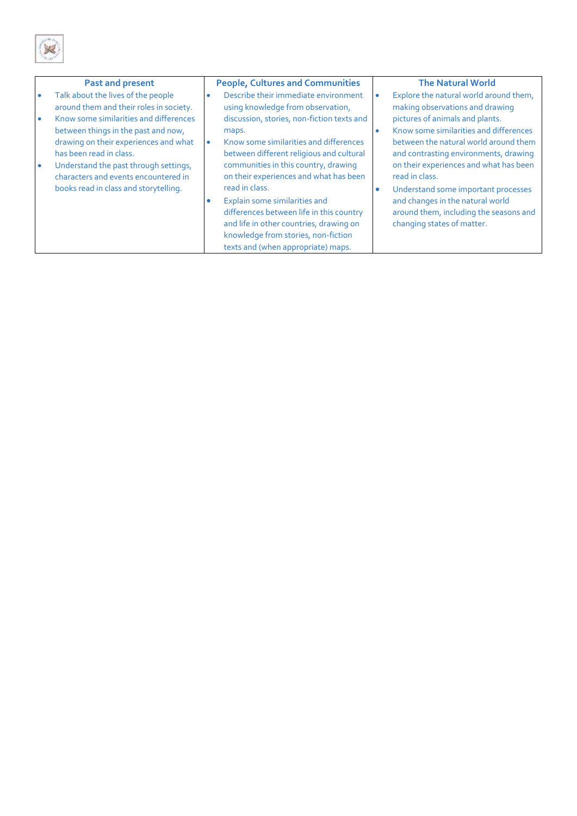

|           | <b>Past and present</b>                                                                                                |           | <b>People, Cultures and Communities</b>                                                                                                                                                                             |           | <b>The Natural World</b>                                                                                                                        |
|-----------|------------------------------------------------------------------------------------------------------------------------|-----------|---------------------------------------------------------------------------------------------------------------------------------------------------------------------------------------------------------------------|-----------|-------------------------------------------------------------------------------------------------------------------------------------------------|
| $\bullet$ | Talk about the lives of the people<br>around them and their roles in society.                                          |           | Describe their immediate environment<br>using knowledge from observation,                                                                                                                                           |           | Explore the natural world around them,<br>making observations and drawing                                                                       |
| $\bullet$ | Know some similarities and differences<br>between things in the past and now,<br>drawing on their experiences and what | $\bullet$ | discussion, stories, non-fiction texts and<br>maps.<br>Know some similarities and differences                                                                                                                       | $\bullet$ | pictures of animals and plants.<br>Know some similarities and differences<br>between the natural world around them                              |
| $\bullet$ | has been read in class.<br>Understand the past through settings,<br>characters and events encountered in               |           | between different religious and cultural<br>communities in this country, drawing<br>on their experiences and what has been                                                                                          |           | and contrasting environments, drawing<br>on their experiences and what has been<br>read in class.                                               |
|           | books read in class and storytelling.                                                                                  |           | read in class.<br>Explain some similarities and<br>differences between life in this country<br>and life in other countries, drawing on<br>knowledge from stories, non-fiction<br>texts and (when appropriate) maps. | $\bullet$ | Understand some important processes<br>and changes in the natural world<br>around them, including the seasons and<br>changing states of matter. |